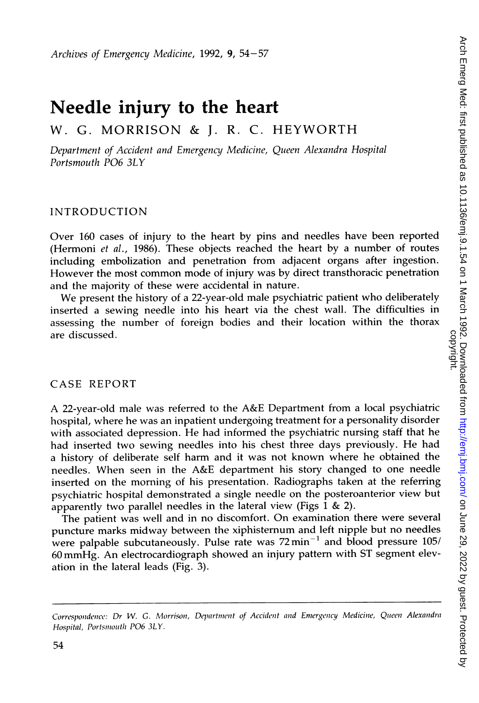# Needle injury to the heart

# W. G. MORRISON & J. R. C. HEYWORTH

Department of Accident and Emergency Medicine, Queen Alexandra Hospital Portsmouth P06 3LY

#### INTRODUCTION

Over 160 cases of injury to the heart by pins and needles have been reported (Hermoni et al., 1986). These objects reached the heart by <sup>a</sup> number of routes including embolization and penetration from adjacent organs after ingestion. However the most common mode of injury was by direct transthoracic penetration and the majority of these were accidental in nature.

We present the history of <sup>a</sup> 22-year-old male psychiatric patient who deliberately inserted a sewing needle into his heart via the chest wall. The difficulties in assessing the number of foreign bodies and their location within the thorax are discussed.

#### CASE REPORT

A 22-year-old male was referred to the A&E Department from <sup>a</sup> local psychiatric hospital, where he was an inpatient undergoing treatment for a personality disorder with associated depression. He had informed the psychiatric nursing staff that he had inserted two sewing needles into his chest three days previously. He had <sup>a</sup> history of deliberate self harm and it was not known where he obtained the needles. When seen in the A&E department his story changed to one needle inserted on the morning of his presentation. Radiographs taken at the referring psychiatric hospital demonstrated <sup>a</sup> single needle on the posteroanterior view but apparently two parallel needles in the lateral view (Figs  $1 \& 2$ ).

The patient was well and in no discomfort. On examination there were several puncture marks midway between the xiphisternum and left nipple but no needles were palpable subcutaneously. Pulse rate was  $72 \text{min}^{-1}$  and blood pressure  $105/$ <sup>60</sup> mmHg. An electrocardiograph showed an injury pattern with ST segment elevation in the lateral leads (Fig. 3).

Correspondence: Dr W. G. Morrison, Department of Accident and Emergency Medicine, Queen Alexandra Hospital, Portsmouth PO6 3LY.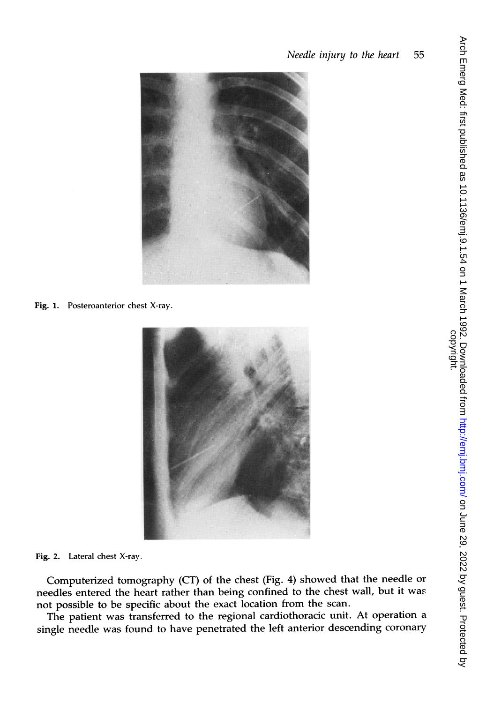

Fig. 1. Posteroanterior chest X-ray.



Fig. 2. Lateral chest X-ray.

Computerized tomography (CT) of the chest (Fig. 4) showed that the needle or needles entered the heart rather than being confined to the chest wall, but it was not possible to be specific about the exact location from the scan.

The patient was transferred to the regional cardiothoracic unit. At operation <sup>a</sup> single needle was found to have penetrated the left anterior descending coronary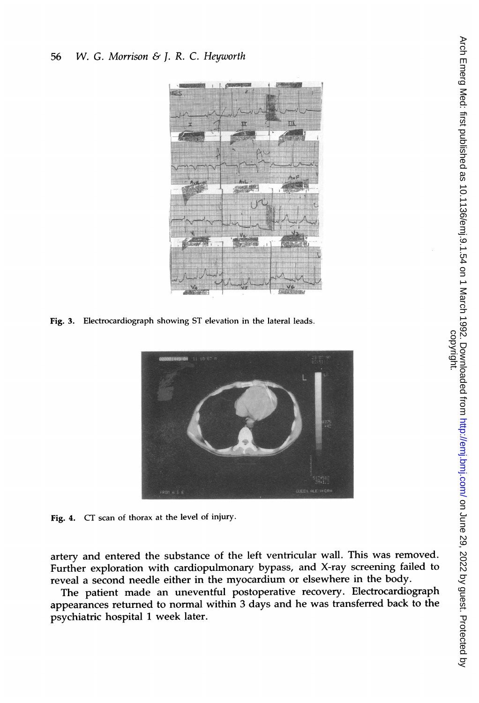#### <sup>56</sup> W. G. Morrison & J. R. C. Heyworth



Fig. 3. Electrocardiograph showing ST elevation in the lateral leads.



Fig. 4. CT scan of thorax at the level of injury.

artery and entered the substance of the left ventricular wall. This was removed. Further exploration with cardiopulmonary bypass, and X-ray screening failed to reveal a second needle either in the myocardium or elsewhere in the body.

The patient made an uneventful postoperative recovery. Electrocardiograph appearances returned to normal within 3 days and he was transferred back to the psychiatric hospital <sup>1</sup> week later.